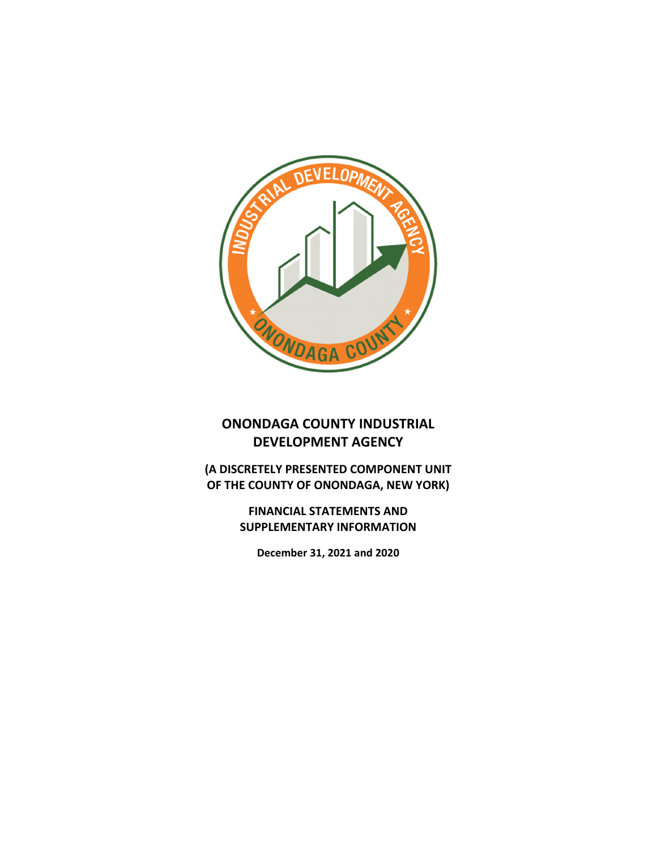

# **ONONDAGA COUNTY INDUSTRIAL DEVELOPMENT AGENCY**

**(A DISCRETELY PRESENTED COMPONENT UNIT OF THE COUNTY OF ONONDAGA, NEW YORK)**

> **FINANCIAL STATEMENTS AND SUPPLEMENTARY INFORMATION**

**December 31, 2021 and 2020**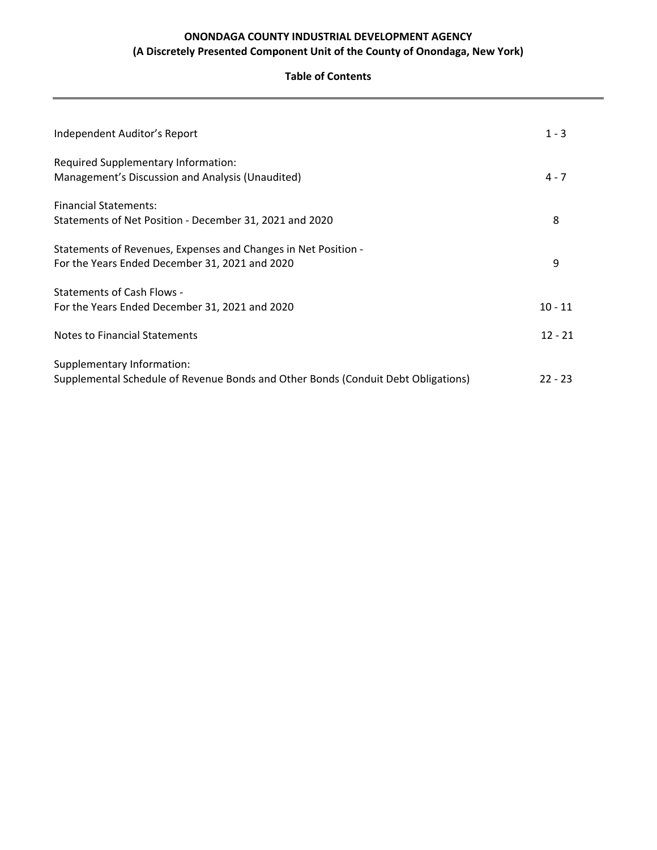### **Table of Contents**

| Independent Auditor's Report                                                                                     | $1 - 3$   |
|------------------------------------------------------------------------------------------------------------------|-----------|
| Required Supplementary Information:<br>Management's Discussion and Analysis (Unaudited)                          | $4 - 7$   |
| <b>Financial Statements:</b>                                                                                     |           |
| Statements of Net Position - December 31, 2021 and 2020                                                          | 8         |
| Statements of Revenues, Expenses and Changes in Net Position -<br>For the Years Ended December 31, 2021 and 2020 | 9         |
| <b>Statements of Cash Flows -</b>                                                                                |           |
| For the Years Ended December 31, 2021 and 2020                                                                   | $10 - 11$ |
| Notes to Financial Statements                                                                                    | $12 - 21$ |
| Supplementary Information:<br>Supplemental Schedule of Revenue Bonds and Other Bonds (Conduit Debt Obligations)  | $22 - 23$ |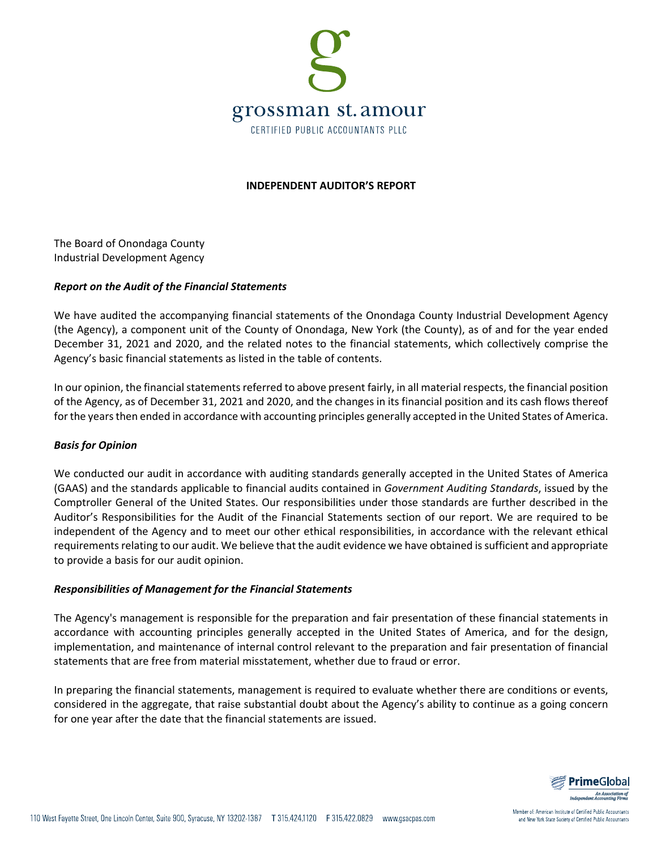

#### **INDEPENDENT AUDITOR'S REPORT**

The Board of Onondaga County Industrial Development Agency

#### *Report on the Audit of the Financial Statements*

We have audited the accompanying financial statements of the Onondaga County Industrial Development Agency (the Agency), a component unit of the County of Onondaga, New York (the County), as of and for the year ended December 31, 2021 and 2020, and the related notes to the financial statements, which collectively comprise the Agency's basic financial statements as listed in the table of contents.

In our opinion, the financial statements referred to above present fairly, in all material respects, the financial position of the Agency, as of December 31, 2021 and 2020, and the changes in its financial position and its cash flows thereof for the years then ended in accordance with accounting principles generally accepted in the United States of America.

#### *Basis for Opinion*

We conducted our audit in accordance with auditing standards generally accepted in the United States of America (GAAS) and the standards applicable to financial audits contained in *Government Auditing Standards*, issued by the Comptroller General of the United States. Our responsibilities under those standards are further described in the Auditor's Responsibilities for the Audit of the Financial Statements section of our report. We are required to be independent of the Agency and to meet our other ethical responsibilities, in accordance with the relevant ethical requirements relating to our audit. We believe that the audit evidence we have obtained is sufficient and appropriate to provide a basis for our audit opinion.

#### *Responsibilities of Management for the Financial Statements*

The Agency's management is responsible for the preparation and fair presentation of these financial statements in accordance with accounting principles generally accepted in the United States of America, and for the design, implementation, and maintenance of internal control relevant to the preparation and fair presentation of financial statements that are free from material misstatement, whether due to fraud or error.

In preparing the financial statements, management is required to evaluate whether there are conditions or events, considered in the aggregate, that raise substantial doubt about the Agency's ability to continue as a going concern for one year after the date that the financial statements are issued.



Member of: American Institute of Certified Public Accountants and New York State Society of Certified Public Accountants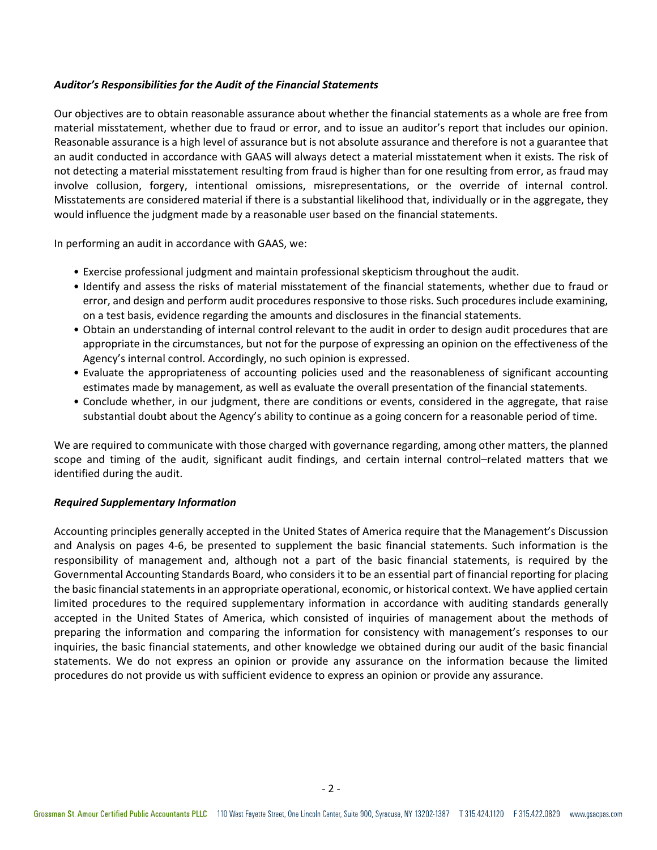#### *Auditor's Responsibilities for the Audit of the Financial Statements*

Our objectives are to obtain reasonable assurance about whether the financial statements as a whole are free from material misstatement, whether due to fraud or error, and to issue an auditor's report that includes our opinion. Reasonable assurance is a high level of assurance but is not absolute assurance and therefore is not a guarantee that an audit conducted in accordance with GAAS will always detect a material misstatement when it exists. The risk of not detecting a material misstatement resulting from fraud is higher than for one resulting from error, as fraud may involve collusion, forgery, intentional omissions, misrepresentations, or the override of internal control. Misstatements are considered material if there is a substantial likelihood that, individually or in the aggregate, they would influence the judgment made by a reasonable user based on the financial statements.

In performing an audit in accordance with GAAS, we:

- Exercise professional judgment and maintain professional skepticism throughout the audit.
- Identify and assess the risks of material misstatement of the financial statements, whether due to fraud or error, and design and perform audit procedures responsive to those risks. Such procedures include examining, on a test basis, evidence regarding the amounts and disclosures in the financial statements.
- Obtain an understanding of internal control relevant to the audit in order to design audit procedures that are appropriate in the circumstances, but not for the purpose of expressing an opinion on the effectiveness of the Agency's internal control. Accordingly, no such opinion is expressed.
- Evaluate the appropriateness of accounting policies used and the reasonableness of significant accounting estimates made by management, as well as evaluate the overall presentation of the financial statements.
- Conclude whether, in our judgment, there are conditions or events, considered in the aggregate, that raise substantial doubt about the Agency's ability to continue as a going concern for a reasonable period of time.

We are required to communicate with those charged with governance regarding, among other matters, the planned scope and timing of the audit, significant audit findings, and certain internal control–related matters that we identified during the audit.

#### *Required Supplementary Information*

Accounting principles generally accepted in the United States of America require that the Management's Discussion and Analysis on pages 4‐6, be presented to supplement the basic financial statements. Such information is the responsibility of management and, although not a part of the basic financial statements, is required by the Governmental Accounting Standards Board, who considers it to be an essential part of financial reporting for placing the basic financial statements in an appropriate operational, economic, or historical context. We have applied certain limited procedures to the required supplementary information in accordance with auditing standards generally accepted in the United States of America, which consisted of inquiries of management about the methods of preparing the information and comparing the information for consistency with management's responses to our inquiries, the basic financial statements, and other knowledge we obtained during our audit of the basic financial statements. We do not express an opinion or provide any assurance on the information because the limited procedures do not provide us with sufficient evidence to express an opinion or provide any assurance.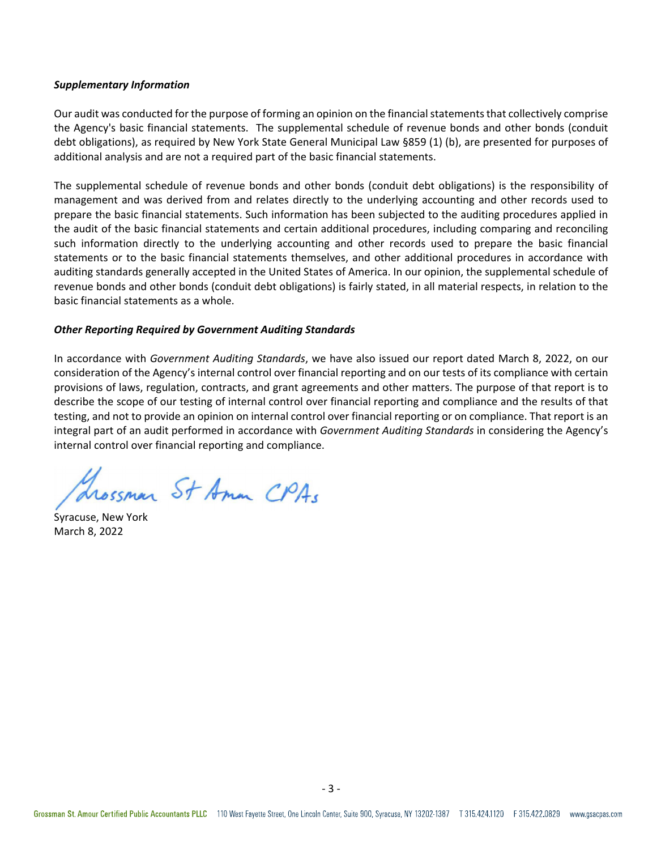#### *Supplementary Information*

Our audit was conducted for the purpose of forming an opinion on the financial statements that collectively comprise the Agency's basic financial statements. The supplemental schedule of revenue bonds and other bonds (conduit debt obligations), as required by New York State General Municipal Law §859 (1) (b), are presented for purposes of additional analysis and are not a required part of the basic financial statements.

The supplemental schedule of revenue bonds and other bonds (conduit debt obligations) is the responsibility of management and was derived from and relates directly to the underlying accounting and other records used to prepare the basic financial statements. Such information has been subjected to the auditing procedures applied in the audit of the basic financial statements and certain additional procedures, including comparing and reconciling such information directly to the underlying accounting and other records used to prepare the basic financial statements or to the basic financial statements themselves, and other additional procedures in accordance with auditing standards generally accepted in the United States of America. In our opinion, the supplemental schedule of revenue bonds and other bonds (conduit debt obligations) is fairly stated, in all material respects, in relation to the basic financial statements as a whole.

#### *Other Reporting Required by Government Auditing Standards*

In accordance with *Government Auditing Standards*, we have also issued our report dated March 8, 2022, on our consideration of the Agency's internal control over financial reporting and on our tests of its compliance with certain provisions of laws, regulation, contracts, and grant agreements and other matters. The purpose of that report is to describe the scope of our testing of internal control over financial reporting and compliance and the results of that testing, and not to provide an opinion on internal control over financial reporting or on compliance. That report is an integral part of an audit performed in accordance with *Government Auditing Standards* in considering the Agency's internal control over financial reporting and compliance.

Trossman St Amon CPAs

Syracuse, New York March 8, 2022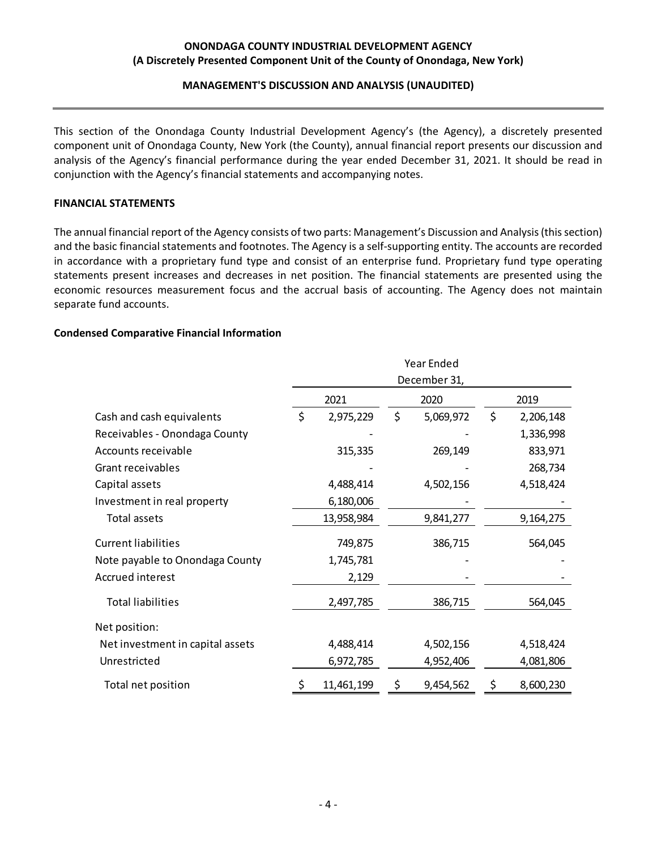#### **MANAGEMENT'S DISCUSSION AND ANALYSIS (UNAUDITED)**

This section of the Onondaga County Industrial Development Agency's (the Agency), a discretely presented component unit of Onondaga County, New York (the County), annual financial report presents our discussion and analysis of the Agency's financial performance during the year ended December 31, 2021. It should be read in conjunction with the Agency's financial statements and accompanying notes.

#### **FINANCIAL STATEMENTS**

The annual financial report of the Agency consists of two parts: Management's Discussion and Analysis(thissection) and the basic financial statements and footnotes. The Agency is a self‐supporting entity. The accounts are recorded in accordance with a proprietary fund type and consist of an enterprise fund. Proprietary fund type operating statements present increases and decreases in net position. The financial statements are presented using the economic resources measurement focus and the accrual basis of accounting. The Agency does not maintain separate fund accounts.

#### **Condensed Comparative Financial Information**

|                                  | Year Ended   |            |    |           |    |           |  |
|----------------------------------|--------------|------------|----|-----------|----|-----------|--|
|                                  | December 31, |            |    |           |    |           |  |
|                                  |              | 2021       |    | 2020      |    | 2019      |  |
| Cash and cash equivalents        | \$           | 2,975,229  | \$ | 5,069,972 | \$ | 2,206,148 |  |
| Receivables - Onondaga County    |              |            |    |           |    | 1,336,998 |  |
| Accounts receivable              |              | 315,335    |    | 269,149   |    | 833,971   |  |
| Grant receivables                |              |            |    |           |    | 268,734   |  |
| Capital assets                   |              | 4,488,414  |    | 4,502,156 |    | 4,518,424 |  |
| Investment in real property      |              | 6,180,006  |    |           |    |           |  |
| Total assets                     |              | 13,958,984 |    | 9,841,277 |    | 9,164,275 |  |
| <b>Current liabilities</b>       |              | 749,875    |    | 386,715   |    | 564,045   |  |
| Note payable to Onondaga County  |              | 1,745,781  |    |           |    |           |  |
| Accrued interest                 |              | 2,129      |    |           |    |           |  |
| <b>Total liabilities</b>         |              | 2,497,785  |    | 386,715   |    | 564,045   |  |
| Net position:                    |              |            |    |           |    |           |  |
| Net investment in capital assets |              | 4,488,414  |    | 4,502,156 |    | 4,518,424 |  |
| Unrestricted                     |              | 6,972,785  |    | 4,952,406 |    | 4,081,806 |  |
| Total net position               | \$           | 11,461,199 | \$ | 9,454,562 | \$ | 8,600,230 |  |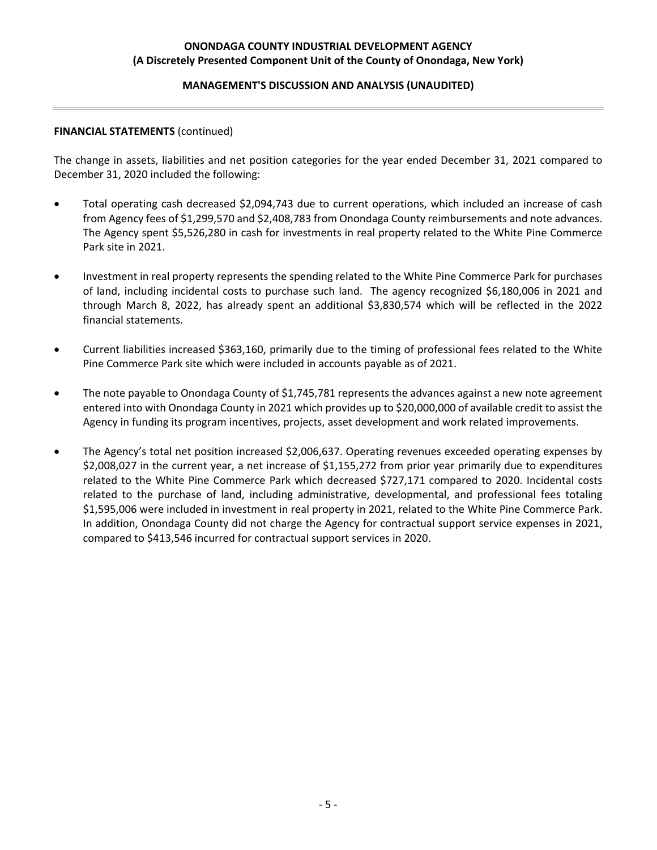#### **MANAGEMENT'S DISCUSSION AND ANALYSIS (UNAUDITED)**

#### **FINANCIAL STATEMENTS** (continued)

The change in assets, liabilities and net position categories for the year ended December 31, 2021 compared to December 31, 2020 included the following:

- Total operating cash decreased \$2,094,743 due to current operations, which included an increase of cash from Agency fees of \$1,299,570 and \$2,408,783 from Onondaga County reimbursements and note advances. The Agency spent \$5,526,280 in cash for investments in real property related to the White Pine Commerce Park site in 2021.
- Investment in real property represents the spending related to the White Pine Commerce Park for purchases of land, including incidental costs to purchase such land. The agency recognized \$6,180,006 in 2021 and through March 8, 2022, has already spent an additional \$3,830,574 which will be reflected in the 2022 financial statements.
- Current liabilities increased \$363,160, primarily due to the timing of professional fees related to the White Pine Commerce Park site which were included in accounts payable as of 2021.
- The note payable to Onondaga County of \$1,745,781 represents the advances against a new note agreement entered into with Onondaga County in 2021 which provides up to \$20,000,000 of available credit to assist the Agency in funding its program incentives, projects, asset development and work related improvements.
- The Agency's total net position increased \$2,006,637. Operating revenues exceeded operating expenses by \$2,008,027 in the current year, a net increase of \$1,155,272 from prior year primarily due to expenditures related to the White Pine Commerce Park which decreased \$727,171 compared to 2020. Incidental costs related to the purchase of land, including administrative, developmental, and professional fees totaling \$1,595,006 were included in investment in real property in 2021, related to the White Pine Commerce Park. In addition, Onondaga County did not charge the Agency for contractual support service expenses in 2021, compared to \$413,546 incurred for contractual support services in 2020.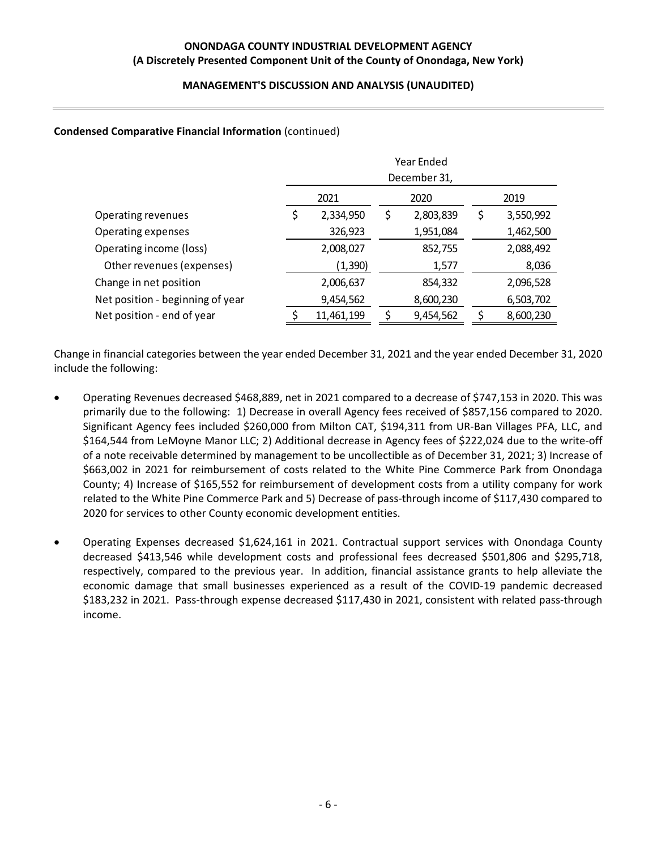### **MANAGEMENT'S DISCUSSION AND ANALYSIS (UNAUDITED)**

### **Condensed Comparative Financial Information** (continued)

|                                  | Year Ended   |            |      |           |   |           |  |
|----------------------------------|--------------|------------|------|-----------|---|-----------|--|
|                                  | December 31, |            |      |           |   |           |  |
|                                  |              | 2021       | 2020 |           |   | 2019      |  |
| Operating revenues               | \$           | 2,334,950  | \$   | 2,803,839 | Ş | 3,550,992 |  |
| Operating expenses               |              | 326,923    |      | 1,951,084 |   | 1,462,500 |  |
| Operating income (loss)          |              | 2,008,027  |      | 852,755   |   | 2,088,492 |  |
| Other revenues (expenses)        |              | (1, 390)   |      | 1,577     |   | 8,036     |  |
| Change in net position           |              | 2,006,637  |      | 854,332   |   | 2,096,528 |  |
| Net position - beginning of year |              | 9,454,562  |      | 8,600,230 |   | 6,503,702 |  |
| Net position - end of year       | ς            | 11,461,199 |      | 9,454,562 | ς | 8,600,230 |  |

Change in financial categories between the year ended December 31, 2021 and the year ended December 31, 2020 include the following:

- Operating Revenues decreased \$468,889, net in 2021 compared to a decrease of \$747,153 in 2020. This was primarily due to the following: 1) Decrease in overall Agency fees received of \$857,156 compared to 2020. Significant Agency fees included \$260,000 from Milton CAT, \$194,311 from UR‐Ban Villages PFA, LLC, and \$164,544 from LeMoyne Manor LLC; 2) Additional decrease in Agency fees of \$222,024 due to the write‐off of a note receivable determined by management to be uncollectible as of December 31, 2021; 3) Increase of \$663,002 in 2021 for reimbursement of costs related to the White Pine Commerce Park from Onondaga County; 4) Increase of \$165,552 for reimbursement of development costs from a utility company for work related to the White Pine Commerce Park and 5) Decrease of pass‐through income of \$117,430 compared to 2020 for services to other County economic development entities.
- Operating Expenses decreased \$1,624,161 in 2021. Contractual support services with Onondaga County decreased \$413,546 while development costs and professional fees decreased \$501,806 and \$295,718, respectively, compared to the previous year. In addition, financial assistance grants to help alleviate the economic damage that small businesses experienced as a result of the COVID‐19 pandemic decreased \$183,232 in 2021. Pass‐through expense decreased \$117,430 in 2021, consistent with related pass‐through income.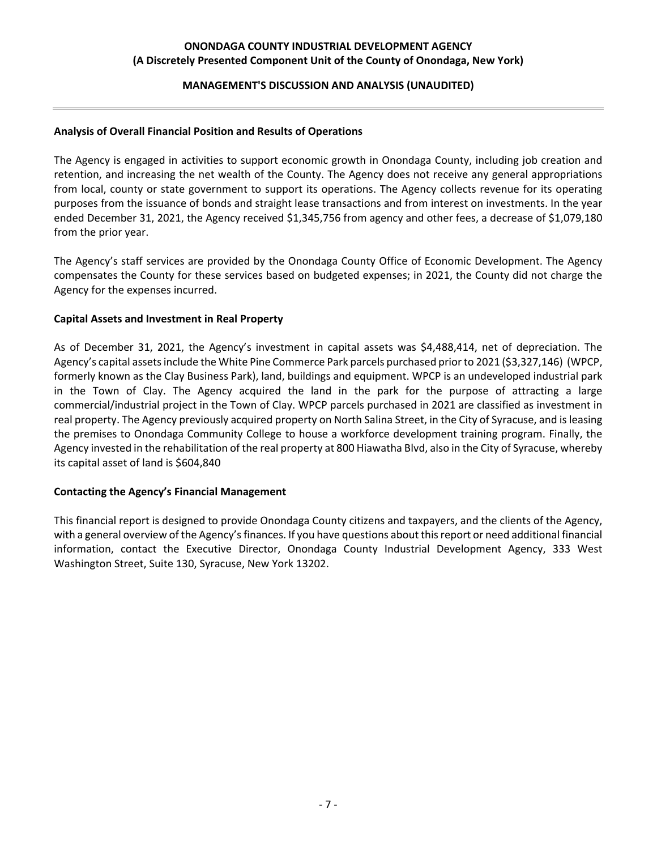#### **MANAGEMENT'S DISCUSSION AND ANALYSIS (UNAUDITED)**

#### **Analysis of Overall Financial Position and Results of Operations**

The Agency is engaged in activities to support economic growth in Onondaga County, including job creation and retention, and increasing the net wealth of the County. The Agency does not receive any general appropriations from local, county or state government to support its operations. The Agency collects revenue for its operating purposes from the issuance of bonds and straight lease transactions and from interest on investments. In the year ended December 31, 2021, the Agency received \$1,345,756 from agency and other fees, a decrease of \$1,079,180 from the prior year.

The Agency's staff services are provided by the Onondaga County Office of Economic Development. The Agency compensates the County for these services based on budgeted expenses; in 2021, the County did not charge the Agency for the expenses incurred.

#### **Capital Assets and Investment in Real Property**

As of December 31, 2021, the Agency's investment in capital assets was \$4,488,414, net of depreciation. The Agency's capital assetsinclude the White Pine Commerce Park parcels purchased priorto 2021 (\$3,327,146) (WPCP, formerly known as the Clay Business Park), land, buildings and equipment. WPCP is an undeveloped industrial park in the Town of Clay. The Agency acquired the land in the park for the purpose of attracting a large commercial/industrial project in the Town of Clay. WPCP parcels purchased in 2021 are classified as investment in real property. The Agency previously acquired property on North Salina Street, in the City of Syracuse, and is leasing the premises to Onondaga Community College to house a workforce development training program. Finally, the Agency invested in the rehabilitation of the real property at 800 Hiawatha Blvd, also in the City of Syracuse, whereby its capital asset of land is \$604,840

#### **Contacting the Agency's Financial Management**

This financial report is designed to provide Onondaga County citizens and taxpayers, and the clients of the Agency, with a general overview of the Agency'sfinances. If you have questions about thisreport or need additional financial information, contact the Executive Director, Onondaga County Industrial Development Agency, 333 West Washington Street, Suite 130, Syracuse, New York 13202.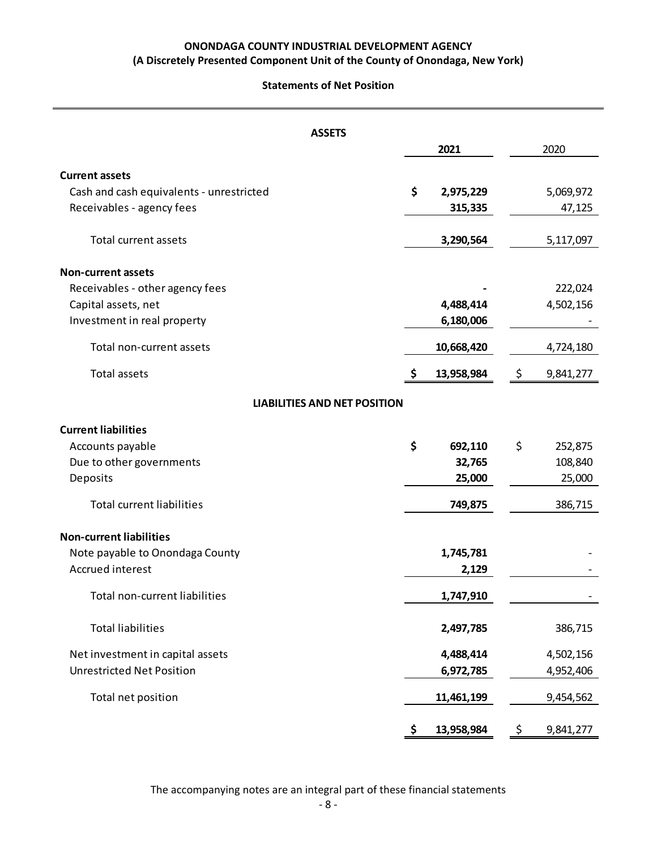#### **Statements of Net Position**

|                                          | <b>ASSETS</b>                       |                  |                 |
|------------------------------------------|-------------------------------------|------------------|-----------------|
|                                          |                                     | 2021             | 2020            |
| <b>Current assets</b>                    |                                     |                  |                 |
| Cash and cash equivalents - unrestricted |                                     | \$<br>2,975,229  | 5,069,972       |
| Receivables - agency fees                |                                     | 315,335          | 47,125          |
| Total current assets                     |                                     | 3,290,564        | 5,117,097       |
| <b>Non-current assets</b>                |                                     |                  |                 |
| Receivables - other agency fees          |                                     |                  | 222,024         |
| Capital assets, net                      |                                     | 4,488,414        | 4,502,156       |
| Investment in real property              |                                     | 6,180,006        |                 |
| Total non-current assets                 |                                     | 10,668,420       | 4,724,180       |
| <b>Total assets</b>                      |                                     | \$<br>13,958,984 | \$<br>9,841,277 |
|                                          | <b>LIABILITIES AND NET POSITION</b> |                  |                 |
| <b>Current liabilities</b>               |                                     |                  |                 |
| Accounts payable                         |                                     | \$<br>692,110    | \$<br>252,875   |
| Due to other governments                 |                                     | 32,765           | 108,840         |
| Deposits                                 |                                     | 25,000           | 25,000          |
| <b>Total current liabilities</b>         |                                     | 749,875          | 386,715         |
| <b>Non-current liabilities</b>           |                                     |                  |                 |
| Note payable to Onondaga County          |                                     | 1,745,781        |                 |
| Accrued interest                         |                                     | 2,129            |                 |
| Total non-current liabilities            |                                     | 1,747,910        |                 |
| <b>Total liabilities</b>                 |                                     | 2,497,785        | 386,715         |
| Net investment in capital assets         |                                     | 4,488,414        | 4,502,156       |
| <b>Unrestricted Net Position</b>         |                                     | 6,972,785        | 4,952,406       |
| Total net position                       |                                     | 11,461,199       | 9,454,562       |
|                                          |                                     | \$<br>13,958,984 | \$<br>9,841,277 |

The accompanying notes are an integral part of these financial statements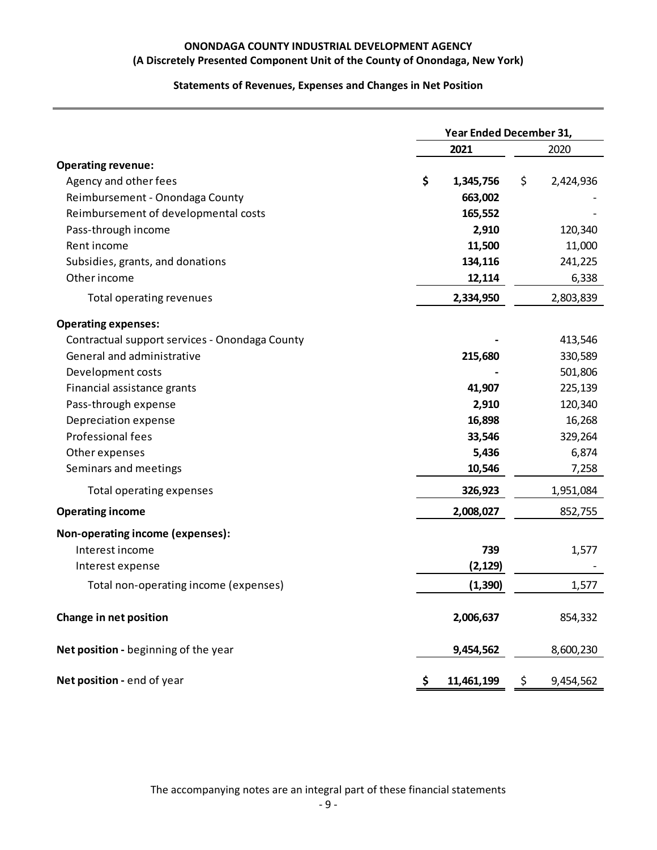## **Statements of Revenues, Expenses and Changes in Net Position**

|                                                | Year Ended December 31, |            |    |           |
|------------------------------------------------|-------------------------|------------|----|-----------|
|                                                | 2021                    |            |    | 2020      |
| <b>Operating revenue:</b>                      |                         |            |    |           |
| Agency and other fees                          | \$                      | 1,345,756  | \$ | 2,424,936 |
| Reimbursement - Onondaga County                |                         | 663,002    |    |           |
| Reimbursement of developmental costs           |                         | 165,552    |    |           |
| Pass-through income                            |                         | 2,910      |    | 120,340   |
| Rent income                                    |                         | 11,500     |    | 11,000    |
| Subsidies, grants, and donations               |                         | 134,116    |    | 241,225   |
| Other income                                   |                         | 12,114     |    | 6,338     |
| Total operating revenues                       |                         | 2,334,950  |    | 2,803,839 |
| <b>Operating expenses:</b>                     |                         |            |    |           |
| Contractual support services - Onondaga County |                         |            |    | 413,546   |
| General and administrative                     |                         | 215,680    |    | 330,589   |
| Development costs                              |                         |            |    | 501,806   |
| Financial assistance grants                    |                         | 41,907     |    | 225,139   |
| Pass-through expense                           |                         | 2,910      |    | 120,340   |
| Depreciation expense                           |                         | 16,898     |    | 16,268    |
| Professional fees                              |                         | 33,546     |    | 329,264   |
| Other expenses                                 |                         | 5,436      |    | 6,874     |
| Seminars and meetings                          |                         | 10,546     |    | 7,258     |
| Total operating expenses                       |                         | 326,923    |    | 1,951,084 |
| <b>Operating income</b>                        |                         | 2,008,027  |    | 852,755   |
| Non-operating income (expenses):               |                         |            |    |           |
| Interest income                                |                         | 739        |    | 1,577     |
| Interest expense                               |                         | (2, 129)   |    |           |
| Total non-operating income (expenses)          |                         | (1, 390)   |    | 1,577     |
| Change in net position                         |                         | 2,006,637  |    | 854,332   |
| Net position - beginning of the year           |                         | 9,454,562  |    | 8,600,230 |
| Net position - end of year                     | Ş                       | 11,461,199 | \$ | 9,454,562 |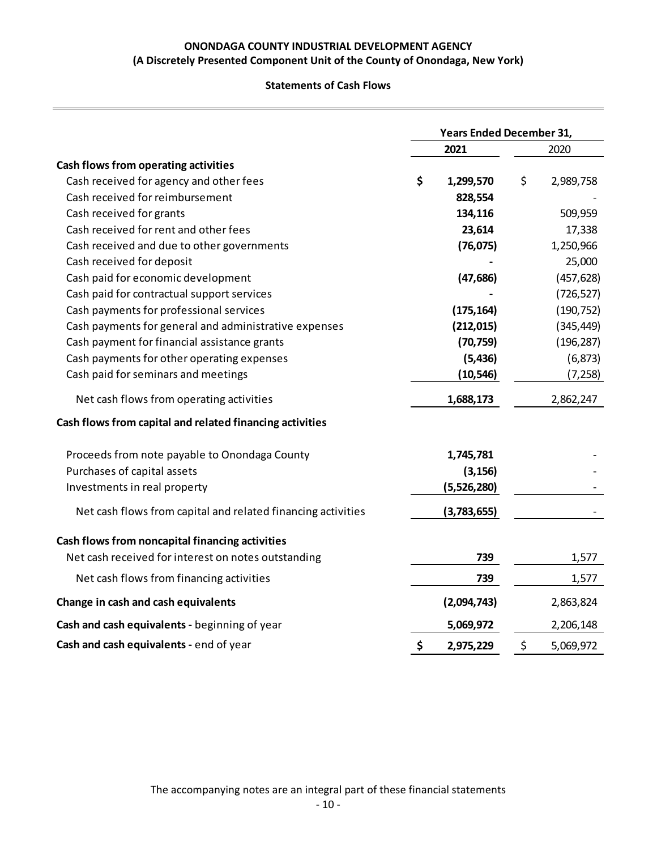### **Statements of Cash Flows**

|                                                              | <b>Years Ended December 31,</b> |             |    |            |
|--------------------------------------------------------------|---------------------------------|-------------|----|------------|
|                                                              |                                 | 2021        |    | 2020       |
| Cash flows from operating activities                         |                                 |             |    |            |
| Cash received for agency and other fees                      | \$                              | 1,299,570   | \$ | 2,989,758  |
| Cash received for reimbursement                              |                                 | 828,554     |    |            |
| Cash received for grants                                     |                                 | 134,116     |    | 509,959    |
| Cash received for rent and other fees                        |                                 | 23,614      |    | 17,338     |
| Cash received and due to other governments                   |                                 | (76, 075)   |    | 1,250,966  |
| Cash received for deposit                                    |                                 |             |    | 25,000     |
| Cash paid for economic development                           |                                 | (47, 686)   |    | (457, 628) |
| Cash paid for contractual support services                   |                                 |             |    | (726, 527) |
| Cash payments for professional services                      |                                 | (175, 164)  |    | (190, 752) |
| Cash payments for general and administrative expenses        |                                 | (212, 015)  |    | (345, 449) |
| Cash payment for financial assistance grants                 |                                 | (70, 759)   |    | (196, 287) |
| Cash payments for other operating expenses                   |                                 | (5, 436)    |    | (6, 873)   |
| Cash paid for seminars and meetings                          |                                 | (10, 546)   |    | (7, 258)   |
| Net cash flows from operating activities                     |                                 | 1,688,173   |    | 2,862,247  |
| Cash flows from capital and related financing activities     |                                 |             |    |            |
| Proceeds from note payable to Onondaga County                |                                 | 1,745,781   |    |            |
| Purchases of capital assets                                  |                                 | (3, 156)    |    |            |
| Investments in real property                                 |                                 | (5,526,280) |    |            |
| Net cash flows from capital and related financing activities |                                 | (3,783,655) |    |            |
| Cash flows from noncapital financing activities              |                                 |             |    |            |
| Net cash received for interest on notes outstanding          |                                 | 739         |    | 1,577      |
| Net cash flows from financing activities                     |                                 | 739         |    | 1,577      |
| Change in cash and cash equivalents                          |                                 | (2,094,743) |    | 2,863,824  |
| Cash and cash equivalents - beginning of year                |                                 | 5,069,972   |    | 2,206,148  |
| Cash and cash equivalents - end of year                      | \$                              | 2,975,229   | \$ | 5,069,972  |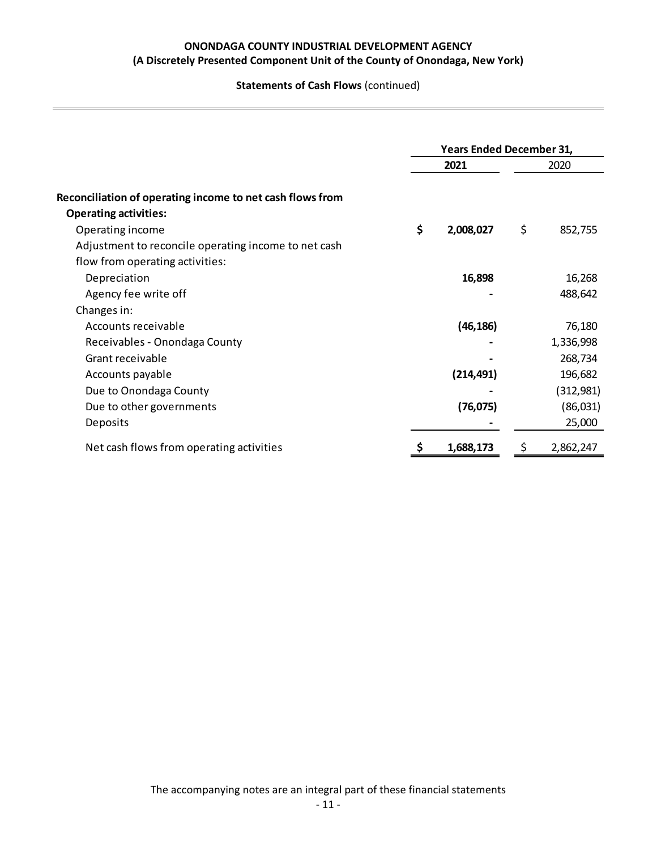**Statements of Cash Flows** (continued)

|                                                                                         | <b>Years Ended December 31,</b> |            |    |           |
|-----------------------------------------------------------------------------------------|---------------------------------|------------|----|-----------|
|                                                                                         |                                 | 2021       |    | 2020      |
| Reconciliation of operating income to net cash flows from                               |                                 |            |    |           |
| <b>Operating activities:</b><br>Operating income                                        | \$                              | 2,008,027  | \$ | 852,755   |
| Adjustment to reconcile operating income to net cash<br>flow from operating activities: |                                 |            |    |           |
| Depreciation                                                                            |                                 | 16,898     |    | 16,268    |
| Agency fee write off                                                                    |                                 |            |    | 488,642   |
| Changes in:                                                                             |                                 |            |    |           |
| Accounts receivable                                                                     |                                 | (46, 186)  |    | 76,180    |
| Receivables - Onondaga County                                                           |                                 |            |    | 1,336,998 |
| Grant receivable                                                                        |                                 |            |    | 268,734   |
| Accounts payable                                                                        |                                 | (214, 491) |    | 196,682   |
| Due to Onondaga County                                                                  |                                 |            |    | (312,981) |
| Due to other governments                                                                |                                 | (76, 075)  |    | (86,031)  |
| Deposits                                                                                |                                 |            |    | 25,000    |
| Net cash flows from operating activities                                                |                                 | 1,688,173  | Ş  | 2,862,247 |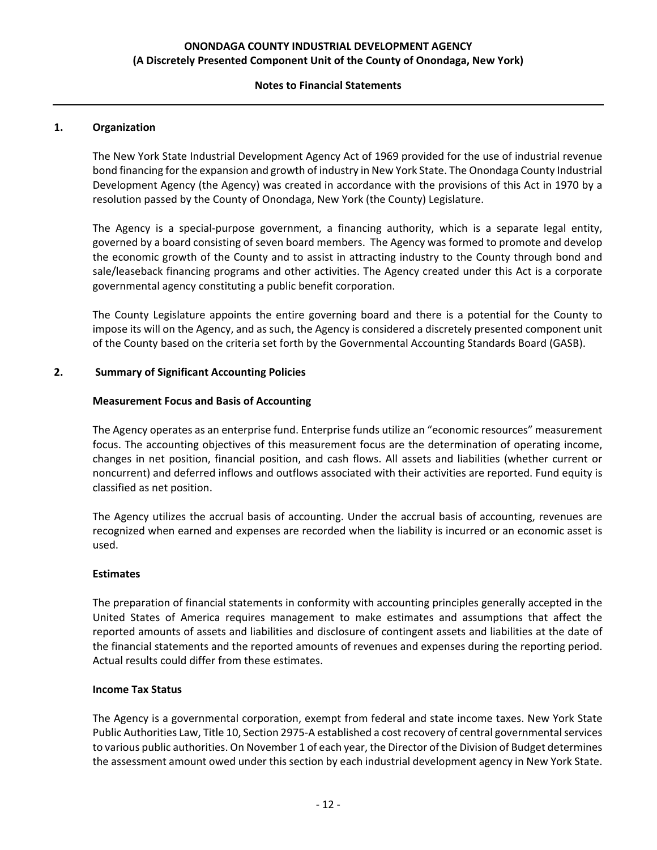#### **Notes to Financial Statements**

### **1. Organization**

The New York State Industrial Development Agency Act of 1969 provided for the use of industrial revenue bond financing for the expansion and growth of industry in New York State. The Onondaga County Industrial Development Agency (the Agency) was created in accordance with the provisions of this Act in 1970 by a resolution passed by the County of Onondaga, New York (the County) Legislature.

The Agency is a special-purpose government, a financing authority, which is a separate legal entity, governed by a board consisting of seven board members. The Agency was formed to promote and develop the economic growth of the County and to assist in attracting industry to the County through bond and sale/leaseback financing programs and other activities. The Agency created under this Act is a corporate governmental agency constituting a public benefit corporation.

The County Legislature appoints the entire governing board and there is a potential for the County to impose its will on the Agency, and as such, the Agency is considered a discretely presented component unit of the County based on the criteria set forth by the Governmental Accounting Standards Board (GASB).

#### **2. Summary of Significant Accounting Policies**

#### **Measurement Focus and Basis of Accounting**

The Agency operates as an enterprise fund. Enterprise funds utilize an "economic resources" measurement focus. The accounting objectives of this measurement focus are the determination of operating income, changes in net position, financial position, and cash flows. All assets and liabilities (whether current or noncurrent) and deferred inflows and outflows associated with their activities are reported. Fund equity is classified as net position.

The Agency utilizes the accrual basis of accounting. Under the accrual basis of accounting, revenues are recognized when earned and expenses are recorded when the liability is incurred or an economic asset is used.

#### **Estimates**

The preparation of financial statements in conformity with accounting principles generally accepted in the United States of America requires management to make estimates and assumptions that affect the reported amounts of assets and liabilities and disclosure of contingent assets and liabilities at the date of the financial statements and the reported amounts of revenues and expenses during the reporting period. Actual results could differ from these estimates.

#### **Income Tax Status**

The Agency is a governmental corporation, exempt from federal and state income taxes. New York State Public Authorities Law, Title 10, Section 2975‐A established a cost recovery of central governmentalservices to various public authorities. On November 1 of each year, the Director of the Division of Budget determines the assessment amount owed under this section by each industrial development agency in New York State.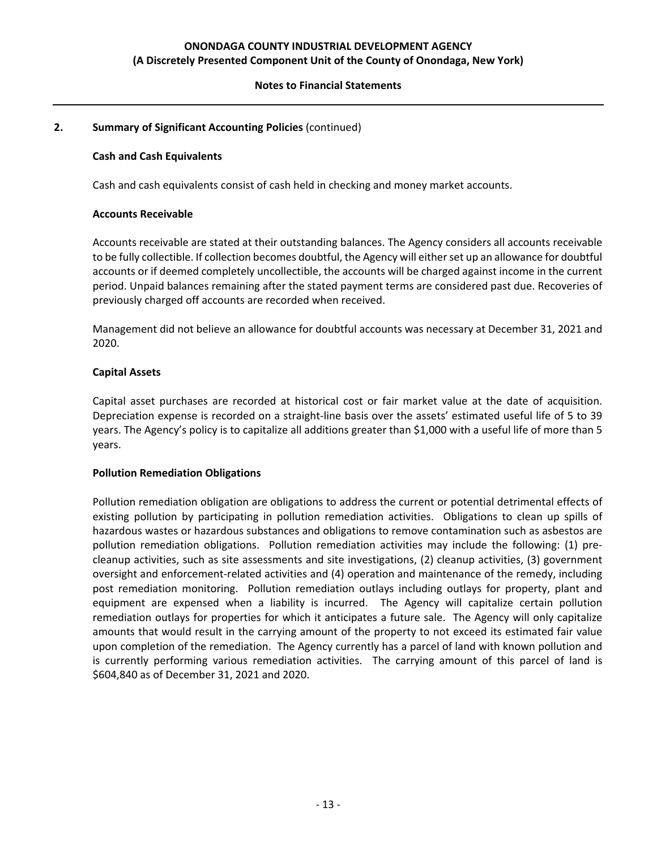### **Notes to Financial Statements**

### **2. Summary of Significant Accounting Policies** (continued)

#### **Cash and Cash Equivalents**

Cash and cash equivalents consist of cash held in checking and money market accounts.

#### **Accounts Receivable**

Accounts receivable are stated at their outstanding balances. The Agency considers all accounts receivable to be fully collectible. If collection becomes doubtful, the Agency will eitherset up an allowance for doubtful accounts or if deemed completely uncollectible, the accounts will be charged against income in the current period. Unpaid balances remaining after the stated payment terms are considered past due. Recoveries of previously charged off accounts are recorded when received.

Management did not believe an allowance for doubtful accounts was necessary at December 31, 2021 and 2020.

### **Capital Assets**

Capital asset purchases are recorded at historical cost or fair market value at the date of acquisition. Depreciation expense is recorded on a straight‐line basis over the assets' estimated useful life of 5 to 39 years. The Agency's policy is to capitalize all additions greater than \$1,000 with a useful life of more than 5 years.

#### **Pollution Remediation Obligations**

Pollution remediation obligation are obligations to address the current or potential detrimental effects of existing pollution by participating in pollution remediation activities. Obligations to clean up spills of hazardous wastes or hazardous substances and obligations to remove contamination such as asbestos are pollution remediation obligations. Pollution remediation activities may include the following: (1) precleanup activities, such as site assessments and site investigations, (2) cleanup activities, (3) government oversight and enforcement‐related activities and (4) operation and maintenance of the remedy, including post remediation monitoring. Pollution remediation outlays including outlays for property, plant and equipment are expensed when a liability is incurred. The Agency will capitalize certain pollution remediation outlays for properties for which it anticipates a future sale. The Agency will only capitalize amounts that would result in the carrying amount of the property to not exceed its estimated fair value upon completion of the remediation. The Agency currently has a parcel of land with known pollution and is currently performing various remediation activities. The carrying amount of this parcel of land is \$604,840 as of December 31, 2021 and 2020.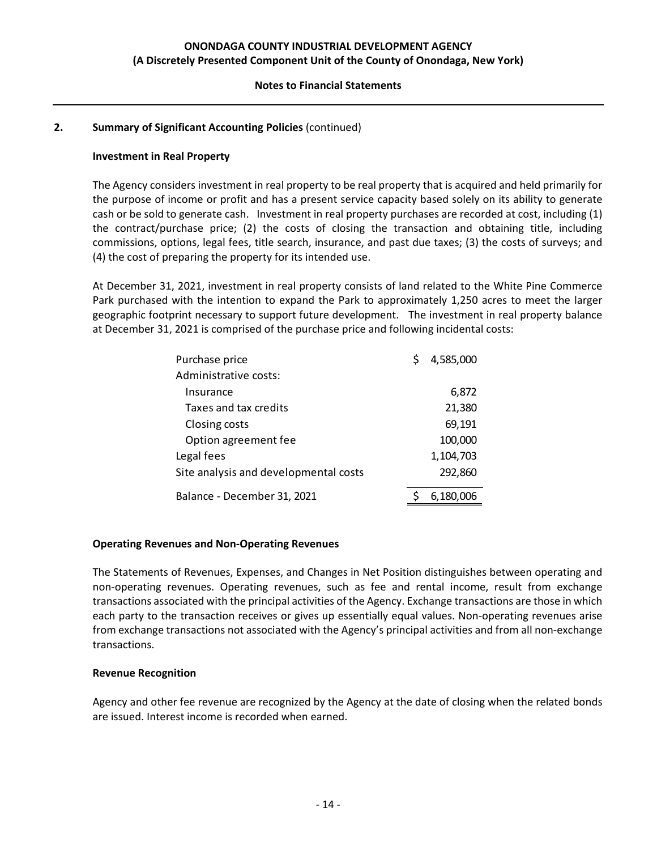#### **Notes to Financial Statements**

### **2. Summary of Significant Accounting Policies** (continued)

#### **Investment in Real Property**

The Agency considers investment in real property to be real property that is acquired and held primarily for the purpose of income or profit and has a present service capacity based solely on its ability to generate cash or be sold to generate cash. Investment in real property purchases are recorded at cost, including (1) the contract/purchase price; (2) the costs of closing the transaction and obtaining title, including commissions, options, legal fees, title search, insurance, and past due taxes; (3) the costs of surveys; and (4) the cost of preparing the property for its intended use.

At December 31, 2021, investment in real property consists of land related to the White Pine Commerce Park purchased with the intention to expand the Park to approximately 1,250 acres to meet the larger geographic footprint necessary to support future development. The investment in real property balance at December 31, 2021 is comprised of the purchase price and following incidental costs:

| Purchase price                        | 4,585,000 |
|---------------------------------------|-----------|
| Administrative costs:                 |           |
| Insurance                             | 6,872     |
| Taxes and tax credits                 | 21,380    |
| Closing costs                         | 69,191    |
| Option agreement fee                  | 100,000   |
| Legal fees                            | 1,104,703 |
| Site analysis and developmental costs | 292,860   |
| Balance - December 31, 2021           | 6,180,006 |

#### **Operating Revenues and Non‐Operating Revenues**

The Statements of Revenues, Expenses, and Changes in Net Position distinguishes between operating and non‐operating revenues. Operating revenues, such as fee and rental income, result from exchange transactions associated with the principal activities of the Agency. Exchange transactions are those in which each party to the transaction receives or gives up essentially equal values. Non-operating revenues arise from exchange transactions not associated with the Agency's principal activities and from all non‐exchange transactions.

#### **Revenue Recognition**

Agency and other fee revenue are recognized by the Agency at the date of closing when the related bonds are issued. Interest income is recorded when earned.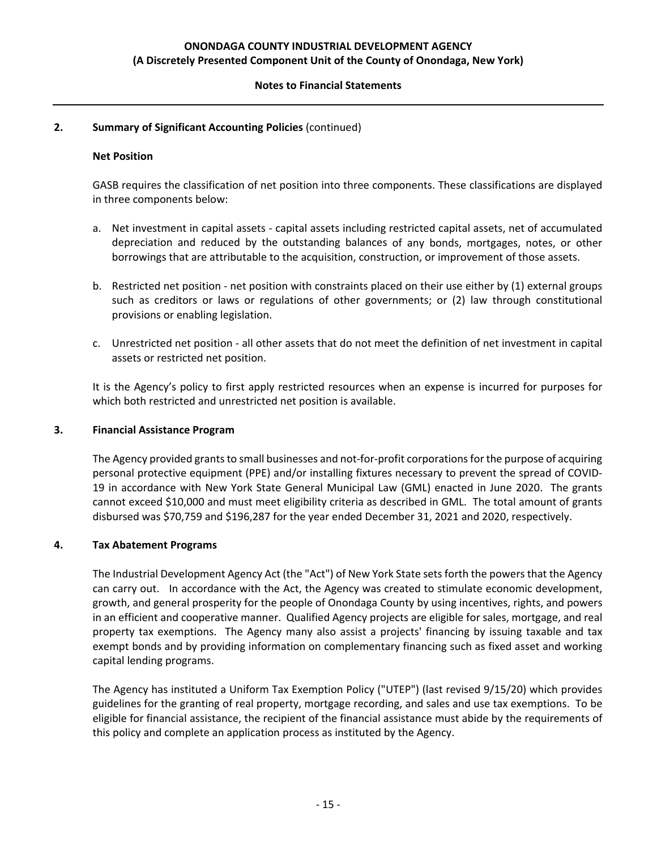#### **Notes to Financial Statements**

### **2. Summary of Significant Accounting Policies** (continued)

#### **Net Position**

GASB requires the classification of net position into three components. These classifications are displayed in three components below:

- a. Net investment in capital assets capital assets including restricted capital assets, net of accumulated depreciation and reduced by the outstanding balances of any bonds, mortgages, notes, or other borrowings that are attributable to the acquisition, construction, or improvement of those assets.
- b. Restricted net position ‐ net position with constraints placed on their use either by (1) external groups such as creditors or laws or regulations of other governments; or (2) law through constitutional provisions or enabling legislation.
- c. Unrestricted net position ‐ all other assets that do not meet the definition of net investment in capital assets or restricted net position.

It is the Agency's policy to first apply restricted resources when an expense is incurred for purposes for which both restricted and unrestricted net position is available.

#### **3. Financial Assistance Program**

The Agency provided grants to small businesses and not-for-profit corporations for the purpose of acquiring personal protective equipment (PPE) and/or installing fixtures necessary to prevent the spread of COVID‐ 19 in accordance with New York State General Municipal Law (GML) enacted in June 2020. The grants cannot exceed \$10,000 and must meet eligibility criteria as described in GML. The total amount of grants disbursed was \$70,759 and \$196,287 for the year ended December 31, 2021 and 2020, respectively.

#### **4. Tax Abatement Programs**

The Industrial Development Agency Act (the "Act") of New York State sets forth the powers that the Agency can carry out. In accordance with the Act, the Agency was created to stimulate economic development, growth, and general prosperity for the people of Onondaga County by using incentives, rights, and powers in an efficient and cooperative manner. Qualified Agency projects are eligible for sales, mortgage, and real property tax exemptions. The Agency many also assist a projects' financing by issuing taxable and tax exempt bonds and by providing information on complementary financing such as fixed asset and working capital lending programs.

The Agency has instituted a Uniform Tax Exemption Policy ("UTEP") (last revised 9/15/20) which provides guidelines for the granting of real property, mortgage recording, and sales and use tax exemptions. To be eligible for financial assistance, the recipient of the financial assistance must abide by the requirements of this policy and complete an application process as instituted by the Agency.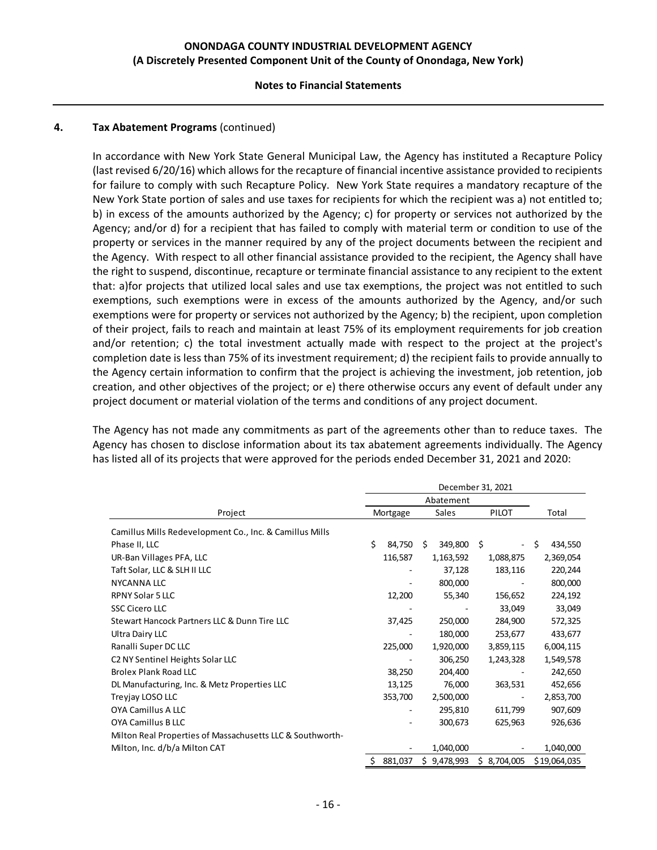#### **Notes to Financial Statements**

#### **4. Tax Abatement Programs** (continued)

In accordance with New York State General Municipal Law, the Agency has instituted a Recapture Policy (last revised 6/20/16) which allows for the recapture of financial incentive assistance provided to recipients for failure to comply with such Recapture Policy. New York State requires a mandatory recapture of the New York State portion of sales and use taxes for recipients for which the recipient was a) not entitled to; b) in excess of the amounts authorized by the Agency; c) for property or services not authorized by the Agency; and/or d) for a recipient that has failed to comply with material term or condition to use of the property or services in the manner required by any of the project documents between the recipient and the Agency. With respect to all other financial assistance provided to the recipient, the Agency shall have the right to suspend, discontinue, recapture or terminate financial assistance to any recipient to the extent that: a)for projects that utilized local sales and use tax exemptions, the project was not entitled to such exemptions, such exemptions were in excess of the amounts authorized by the Agency, and/or such exemptions were for property or services not authorized by the Agency; b) the recipient, upon completion of their project, fails to reach and maintain at least 75% of its employment requirements for job creation and/or retention; c) the total investment actually made with respect to the project at the project's completion date is less than 75% of its investment requirement; d) the recipient fails to provide annually to the Agency certain information to confirm that the project is achieving the investment, job retention, job creation, and other objectives of the project; or e) there otherwise occurs any event of default under any project document or material violation of the terms and conditions of any project document.

The Agency has not made any commitments as part of the agreements other than to reduce taxes. The Agency has chosen to disclose information about its tax abatement agreements individually. The Agency has listed all of its projects that were approved for the periods ended December 31, 2021 and 2020:

|                                                           | December 31, 2021 |          |    |           |                                |    |              |
|-----------------------------------------------------------|-------------------|----------|----|-----------|--------------------------------|----|--------------|
|                                                           | Abatement         |          |    |           |                                |    |              |
| Project                                                   |                   | Mortgage |    | Sales     | PILOT                          |    | Total        |
| Camillus Mills Redevelopment Co., Inc. & Camillus Mills   |                   |          |    |           |                                |    |              |
| Phase II, LLC                                             | \$                | 84,750   | Ś. | 349,800   | \$<br>$\overline{\phantom{a}}$ | \$ | 434,550      |
| UR-Ban Villages PFA, LLC                                  |                   | 116,587  |    | 1,163,592 | 1,088,875                      |    | 2,369,054    |
| Taft Solar, LLC & SLH II LLC                              |                   |          |    | 37,128    | 183,116                        |    | 220,244      |
| <b>NYCANNA LLC</b>                                        |                   |          |    | 800,000   |                                |    | 800,000      |
| RPNY Solar 5 LLC                                          |                   | 12,200   |    | 55,340    | 156,652                        |    | 224,192      |
| <b>SSC Cicero LLC</b>                                     |                   |          |    |           | 33,049                         |    | 33,049       |
| Stewart Hancock Partners LLC & Dunn Tire LLC              |                   | 37,425   |    | 250,000   | 284,900                        |    | 572,325      |
| Ultra Dairy LLC                                           |                   |          |    | 180,000   | 253,677                        |    | 433,677      |
| Ranalli Super DC LLC                                      |                   | 225,000  |    | 1,920,000 | 3,859,115                      |    | 6,004,115    |
| C <sub>2</sub> NY Sentinel Heights Solar LLC              |                   |          |    | 306,250   | 1,243,328                      |    | 1,549,578    |
| <b>Brolex Plank Road LLC</b>                              |                   | 38,250   |    | 204,400   |                                |    | 242,650      |
| DL Manufacturing, Inc. & Metz Properties LLC              |                   | 13,125   |    | 76,000    | 363,531                        |    | 452,656      |
| Treyjay LOSO LLC                                          |                   | 353,700  |    | 2,500,000 |                                |    | 2,853,700    |
| <b>OYA Camillus A LLC</b>                                 |                   |          |    | 295,810   | 611,799                        |    | 907,609      |
| OYA Camillus B LLC                                        |                   |          |    | 300,673   | 625,963                        |    | 926,636      |
| Milton Real Properties of Massachusetts LLC & Southworth- |                   |          |    |           |                                |    |              |
| Milton, Inc. d/b/a Milton CAT                             |                   |          |    | 1,040,000 |                                |    | 1,040,000    |
|                                                           | \$                | 881,037  | \$ | 9,478,993 | \$8,704,005                    |    | \$19,064,035 |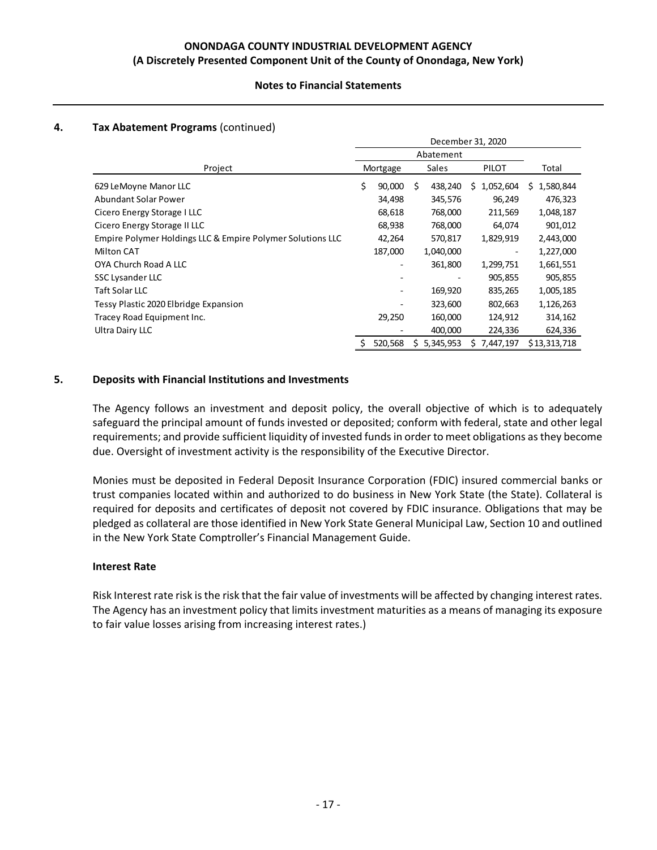### **Notes to Financial Statements**

### **4. Tax Abatement Programs** (continued)

|                                                            | December 31, 2020 |          |    |           |                 |    |              |
|------------------------------------------------------------|-------------------|----------|----|-----------|-----------------|----|--------------|
|                                                            | Abatement         |          |    |           |                 |    |              |
| Project                                                    |                   | Mortgage |    | Sales     | PILOT           |    | Total        |
| 629 LeMoyne Manor LLC                                      | \$                | 90,000   | Ś  | 438,240   | 1,052,604<br>S. | S. | 1,580,844    |
| <b>Abundant Solar Power</b>                                |                   | 34,498   |    | 345,576   | 96,249          |    | 476,323      |
| Cicero Energy Storage I LLC                                |                   | 68,618   |    | 768,000   | 211,569         |    | 1,048,187    |
| Cicero Energy Storage II LLC                               |                   | 68,938   |    | 768,000   | 64,074          |    | 901,012      |
| Empire Polymer Holdings LLC & Empire Polymer Solutions LLC |                   | 42,264   |    | 570,817   | 1,829,919       |    | 2,443,000    |
| <b>Milton CAT</b>                                          |                   | 187,000  |    | 1,040,000 | ۰               |    | 1,227,000    |
| OYA Church Road A LLC                                      |                   |          |    | 361,800   | 1,299,751       |    | 1,661,551    |
| SSC Lysander LLC                                           |                   |          |    |           | 905,855         |    | 905,855      |
| Taft Solar LLC                                             |                   |          |    | 169,920   | 835,265         |    | 1,005,185    |
| Tessy Plastic 2020 Elbridge Expansion                      |                   |          |    | 323,600   | 802,663         |    | 1,126,263    |
| Tracey Road Equipment Inc.                                 |                   | 29,250   |    | 160,000   | 124,912         |    | 314,162      |
| Ultra Dairy LLC                                            |                   |          |    | 400,000   | 224,336         |    | 624,336      |
|                                                            | S                 | 520,568  | Ś. | 5,345,953 | 7,447,197<br>S. |    | \$13,313,718 |

#### **5. Deposits with Financial Institutions and Investments**

The Agency follows an investment and deposit policy, the overall objective of which is to adequately safeguard the principal amount of funds invested or deposited; conform with federal, state and other legal requirements; and provide sufficient liquidity of invested fundsin order to meet obligations asthey become due. Oversight of investment activity is the responsibility of the Executive Director.

Monies must be deposited in Federal Deposit Insurance Corporation (FDIC) insured commercial banks or trust companies located within and authorized to do business in New York State (the State). Collateral is required for deposits and certificates of deposit not covered by FDIC insurance. Obligations that may be pledged as collateral are those identified in New York State General Municipal Law, Section 10 and outlined in the New York State Comptroller's Financial Management Guide.

#### **Interest Rate**

Risk Interest rate risk isthe risk that the fair value of investments will be affected by changing interest rates. The Agency has an investment policy that limits investment maturities as a means of managing its exposure to fair value losses arising from increasing interest rates.)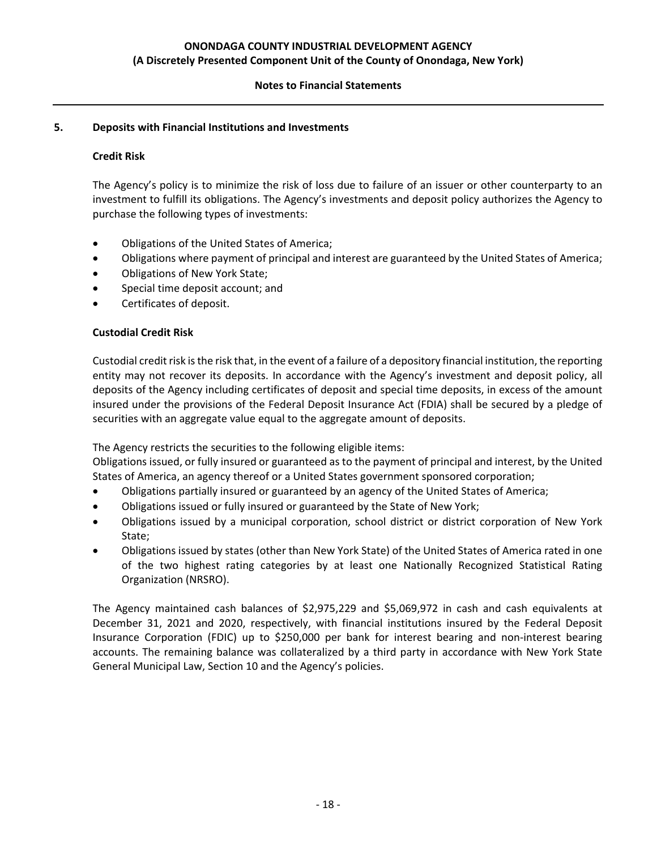### **Notes to Financial Statements**

### **5. Deposits with Financial Institutions and Investments**

### **Credit Risk**

The Agency's policy is to minimize the risk of loss due to failure of an issuer or other counterparty to an investment to fulfill its obligations. The Agency's investments and deposit policy authorizes the Agency to purchase the following types of investments:

- Obligations of the United States of America;
- Obligations where payment of principal and interest are guaranteed by the United States of America;
- Obligations of New York State;
- Special time deposit account; and
- Certificates of deposit.

#### **Custodial Credit Risk**

Custodial credit risk is the risk that, in the event of a failure of a depository financial institution, the reporting entity may not recover its deposits. In accordance with the Agency's investment and deposit policy, all deposits of the Agency including certificates of deposit and special time deposits, in excess of the amount insured under the provisions of the Federal Deposit Insurance Act (FDIA) shall be secured by a pledge of securities with an aggregate value equal to the aggregate amount of deposits.

The Agency restricts the securities to the following eligible items:

Obligations issued, or fully insured or guaranteed as to the payment of principal and interest, by the United States of America, an agency thereof or a United States government sponsored corporation;

- Obligations partially insured or guaranteed by an agency of the United States of America;
- Obligations issued or fully insured or guaranteed by the State of New York;
- Obligations issued by a municipal corporation, school district or district corporation of New York State;
- Obligations issued by states (other than New York State) of the United States of America rated in one of the two highest rating categories by at least one Nationally Recognized Statistical Rating Organization (NRSRO).

The Agency maintained cash balances of \$2,975,229 and \$5,069,972 in cash and cash equivalents at December 31, 2021 and 2020, respectively, with financial institutions insured by the Federal Deposit Insurance Corporation (FDIC) up to \$250,000 per bank for interest bearing and non‐interest bearing accounts. The remaining balance was collateralized by a third party in accordance with New York State General Municipal Law, Section 10 and the Agency's policies.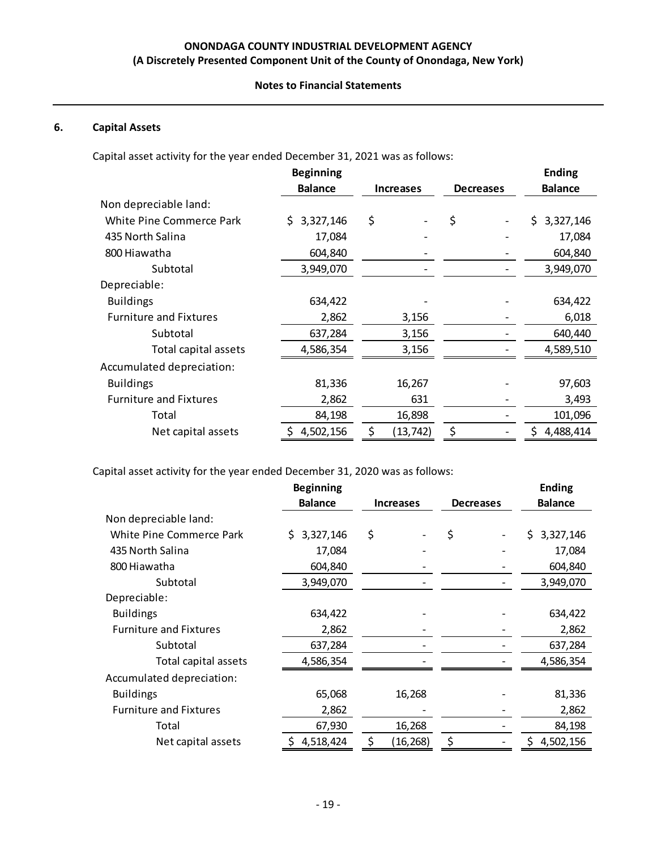#### **Notes to Financial Statements**

## **6. Capital Assets**

Capital asset activity for the year ended December 31, 2021 was as follows:

|                               | <b>Beginning</b> |                  |                  | <b>Ending</b>   |
|-------------------------------|------------------|------------------|------------------|-----------------|
|                               | <b>Balance</b>   | <b>Increases</b> | <b>Decreases</b> | <b>Balance</b>  |
| Non depreciable land:         |                  |                  |                  |                 |
| White Pine Commerce Park      | 3,327,146<br>S.  | \$               | \$               | 3,327,146<br>S. |
| 435 North Salina              | 17,084           |                  |                  | 17,084          |
| 800 Hiawatha                  | 604,840          |                  |                  | 604,840         |
| Subtotal                      | 3,949,070        |                  |                  | 3,949,070       |
| Depreciable:                  |                  |                  |                  |                 |
| <b>Buildings</b>              | 634,422          |                  |                  | 634,422         |
| <b>Furniture and Fixtures</b> | 2,862            | 3,156            |                  | 6,018           |
| Subtotal                      | 637,284          | 3,156            |                  | 640,440         |
| Total capital assets          | 4,586,354        | 3,156            |                  | 4,589,510       |
| Accumulated depreciation:     |                  |                  |                  |                 |
| <b>Buildings</b>              | 81,336           | 16,267           |                  | 97,603          |
| <b>Furniture and Fixtures</b> | 2,862            | 631              |                  | 3,493           |
| Total                         | 84,198           | 16,898           |                  | 101,096         |
| Net capital assets            | 4,502,156        | (13, 742)        | \$               | 4,488,414       |

Capital asset activity for the year ended December 31, 2020 was as follows:

|                                 | <b>Beginning</b> |                  |                  | <b>Ending</b>   |
|---------------------------------|------------------|------------------|------------------|-----------------|
|                                 | <b>Balance</b>   | <b>Increases</b> | <b>Decreases</b> | <b>Balance</b>  |
| Non depreciable land:           |                  |                  |                  |                 |
| <b>White Pine Commerce Park</b> | 3,327,146<br>S.  | \$               | \$               | 3,327,146<br>S. |
| 435 North Salina                | 17,084           |                  |                  | 17,084          |
| 800 Hiawatha                    | 604,840          |                  |                  | 604,840         |
| Subtotal                        | 3,949,070        |                  |                  | 3,949,070       |
| Depreciable:                    |                  |                  |                  |                 |
| <b>Buildings</b>                | 634,422          |                  |                  | 634,422         |
| <b>Furniture and Fixtures</b>   | 2,862            |                  |                  | 2,862           |
| Subtotal                        | 637,284          |                  |                  | 637,284         |
| Total capital assets            | 4,586,354        |                  |                  | 4,586,354       |
| Accumulated depreciation:       |                  |                  |                  |                 |
| <b>Buildings</b>                | 65,068           | 16,268           |                  | 81,336          |
| <b>Furniture and Fixtures</b>   | 2,862            |                  |                  | 2,862           |
| Total                           | 67,930           | 16,268           |                  | 84,198          |
| Net capital assets              | 4,518,424<br>Ş.  | \$<br>(16, 268)  | \$               | 4,502,156       |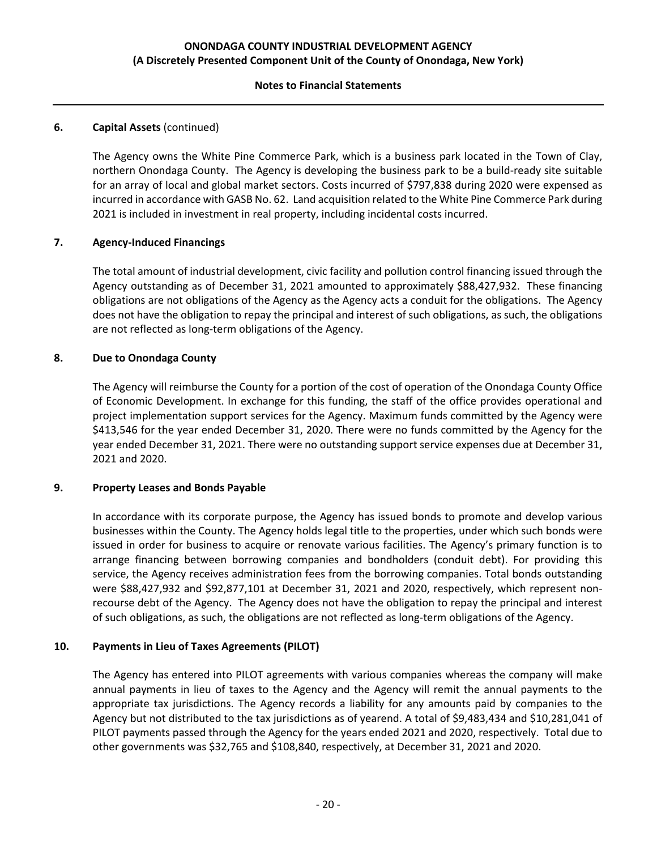### **Notes to Financial Statements**

### **6. Capital Assets** (continued)

The Agency owns the White Pine Commerce Park, which is a business park located in the Town of Clay, northern Onondaga County. The Agency is developing the business park to be a build‐ready site suitable for an array of local and global market sectors. Costs incurred of \$797,838 during 2020 were expensed as incurred in accordance with GASB No. 62. Land acquisition related to the White Pine Commerce Park during 2021 is included in investment in real property, including incidental costs incurred.

### **7. Agency‐Induced Financings**

The total amount of industrial development, civic facility and pollution control financing issued through the Agency outstanding as of December 31, 2021 amounted to approximately \$88,427,932. These financing obligations are not obligations of the Agency as the Agency acts a conduit for the obligations. The Agency does not have the obligation to repay the principal and interest of such obligations, as such, the obligations are not reflected as long‐term obligations of the Agency.

#### **8. Due to Onondaga County**

The Agency will reimburse the County for a portion of the cost of operation of the Onondaga County Office of Economic Development. In exchange for this funding, the staff of the office provides operational and project implementation support services for the Agency. Maximum funds committed by the Agency were \$413,546 for the year ended December 31, 2020. There were no funds committed by the Agency for the year ended December 31, 2021. There were no outstanding support service expenses due at December 31, 2021 and 2020.

#### **9. Property Leases and Bonds Payable**

In accordance with its corporate purpose, the Agency has issued bonds to promote and develop various businesses within the County. The Agency holds legal title to the properties, under which such bonds were issued in order for business to acquire or renovate various facilities. The Agency's primary function is to arrange financing between borrowing companies and bondholders (conduit debt). For providing this service, the Agency receives administration fees from the borrowing companies. Total bonds outstanding were \$88,427,932 and \$92,877,101 at December 31, 2021 and 2020, respectively, which represent nonrecourse debt of the Agency. The Agency does not have the obligation to repay the principal and interest of such obligations, as such, the obligations are not reflected as long‐term obligations of the Agency.

#### **10. Payments in Lieu of Taxes Agreements (PILOT)**

The Agency has entered into PILOT agreements with various companies whereas the company will make annual payments in lieu of taxes to the Agency and the Agency will remit the annual payments to the appropriate tax jurisdictions. The Agency records a liability for any amounts paid by companies to the Agency but not distributed to the tax jurisdictions as of yearend. A total of \$9,483,434 and \$10,281,041 of PILOT payments passed through the Agency for the years ended 2021 and 2020, respectively. Total due to other governments was \$32,765 and \$108,840, respectively, at December 31, 2021 and 2020.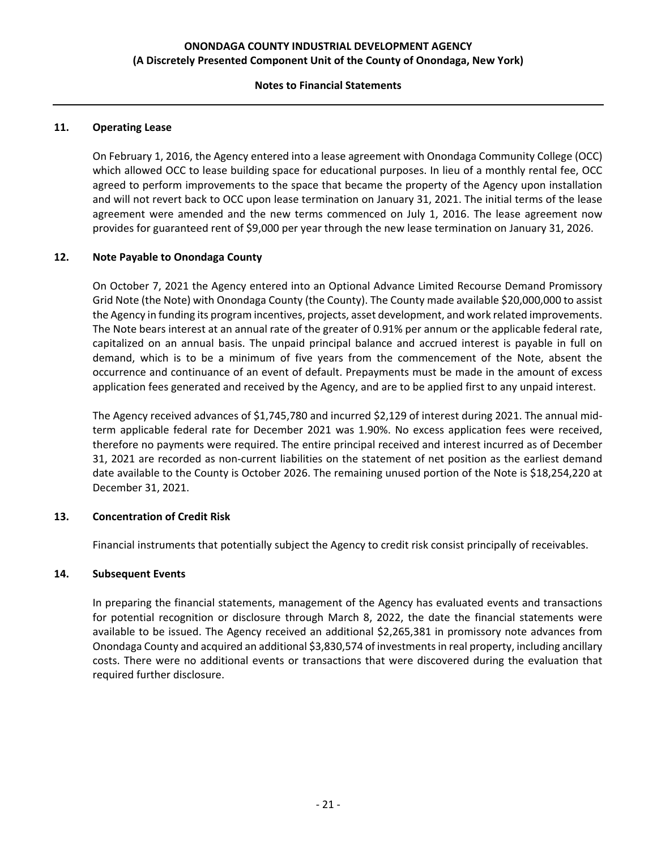#### **Notes to Financial Statements**

#### **11. Operating Lease**

On February 1, 2016, the Agency entered into a lease agreement with Onondaga Community College (OCC) which allowed OCC to lease building space for educational purposes. In lieu of a monthly rental fee, OCC agreed to perform improvements to the space that became the property of the Agency upon installation and will not revert back to OCC upon lease termination on January 31, 2021. The initial terms of the lease agreement were amended and the new terms commenced on July 1, 2016. The lease agreement now provides for guaranteed rent of \$9,000 per year through the new lease termination on January 31, 2026.

#### **12. Note Payable to Onondaga County**

On October 7, 2021 the Agency entered into an Optional Advance Limited Recourse Demand Promissory Grid Note (the Note) with Onondaga County (the County). The County made available \$20,000,000 to assist the Agency in funding its program incentives, projects, asset development, and work related improvements. The Note bears interest at an annual rate of the greater of 0.91% per annum or the applicable federal rate, capitalized on an annual basis. The unpaid principal balance and accrued interest is payable in full on demand, which is to be a minimum of five years from the commencement of the Note, absent the occurrence and continuance of an event of default. Prepayments must be made in the amount of excess application fees generated and received by the Agency, and are to be applied first to any unpaid interest.

The Agency received advances of \$1,745,780 and incurred \$2,129 of interest during 2021. The annual mid‐ term applicable federal rate for December 2021 was 1.90%. No excess application fees were received, therefore no payments were required. The entire principal received and interest incurred as of December 31, 2021 are recorded as non-current liabilities on the statement of net position as the earliest demand date available to the County is October 2026. The remaining unused portion of the Note is \$18,254,220 at December 31, 2021.

#### **13. Concentration of Credit Risk**

Financial instruments that potentially subject the Agency to credit risk consist principally of receivables.

#### **14. Subsequent Events**

In preparing the financial statements, management of the Agency has evaluated events and transactions for potential recognition or disclosure through March 8, 2022, the date the financial statements were available to be issued. The Agency received an additional \$2,265,381 in promissory note advances from Onondaga County and acquired an additional \$3,830,574 of investmentsin real property, including ancillary costs. There were no additional events or transactions that were discovered during the evaluation that required further disclosure.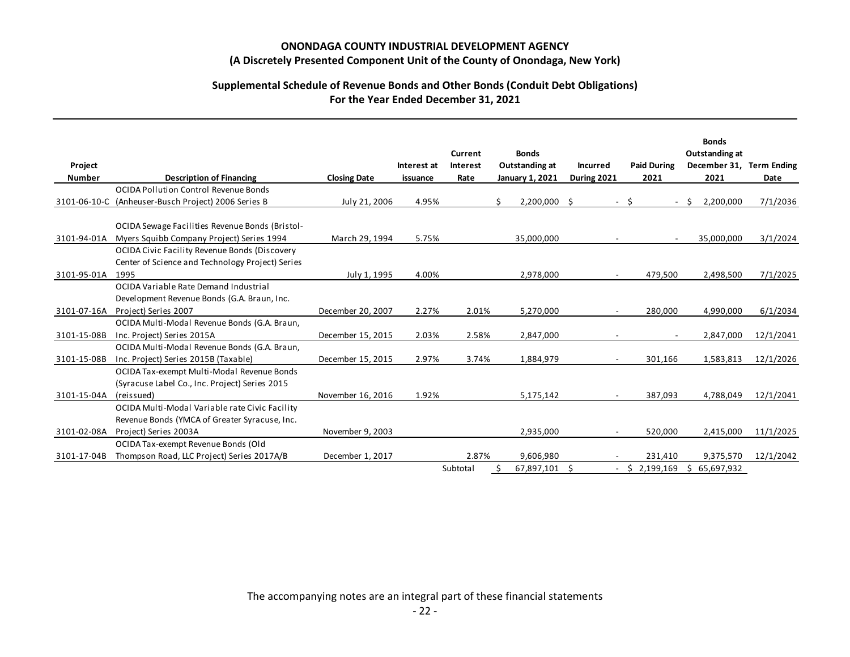### **Supplemental Schedule of Revenue Bonds and Other Bonds (Conduit Debt Obligations) For the Year Ended December 31, 2021**

| Project<br><b>Number</b> | <b>Description of Financing</b>                                                                                            | <b>Closing Date</b> | Interest at<br>issuance | Current<br><b>Interest</b><br>Rate |   | <b>Bonds</b><br><b>Outstanding at</b><br>January 1, 2021 | <b>Incurred</b><br>During 2021 |      | <b>Paid During</b><br>2021 | <b>Bonds</b><br>Outstanding at<br>December 31, Term Ending<br>2021 | Date      |
|--------------------------|----------------------------------------------------------------------------------------------------------------------------|---------------------|-------------------------|------------------------------------|---|----------------------------------------------------------|--------------------------------|------|----------------------------|--------------------------------------------------------------------|-----------|
|                          | OCIDA Pollution Control Revenue Bonds                                                                                      |                     |                         |                                    |   |                                                          |                                |      |                            |                                                                    |           |
|                          | 3101-06-10-C (Anheuser-Busch Project) 2006 Series B                                                                        | July 21, 2006       | 4.95%                   |                                    | Ś | 2,200,000 \$                                             |                                | $-5$ |                            | $-5$<br>2,200,000                                                  | 7/1/2036  |
| 3101-94-01A              | OCIDA Sewage Facilities Revenue Bonds (Bristol-<br>Myers Squibb Company Project) Series 1994                               | March 29, 1994      | 5.75%                   |                                    |   | 35,000,000                                               |                                |      | $\sim$                     | 35,000,000                                                         | 3/1/2024  |
| 3101-95-01A              | <b>OCIDA Civic Facility Revenue Bonds (Discovery</b><br>Center of Science and Technology Project) Series<br>1995           | July 1, 1995        | 4.00%                   |                                    |   | 2,978,000                                                | $\sim$                         |      | 479,500                    | 2,498,500                                                          | 7/1/2025  |
|                          | OCIDA Variable Rate Demand Industrial<br>Development Revenue Bonds (G.A. Braun, Inc.                                       |                     |                         |                                    |   |                                                          |                                |      |                            |                                                                    |           |
| 3101-07-16A              | Project) Series 2007                                                                                                       | December 20, 2007   | 2.27%                   | 2.01%                              |   | 5,270,000                                                | $\overline{\phantom{a}}$       |      | 280,000                    | 4,990,000                                                          | 6/1/2034  |
| 3101-15-08B              | OCIDA Multi-Modal Revenue Bonds (G.A. Braun,<br>Inc. Project) Series 2015A<br>OCIDA Multi-Modal Revenue Bonds (G.A. Braun, | December 15, 2015   | 2.03%                   | 2.58%                              |   | 2,847,000                                                |                                |      |                            | 2,847,000                                                          | 12/1/2041 |
| 3101-15-08B              | Inc. Project) Series 2015B (Taxable)                                                                                       | December 15, 2015   | 2.97%                   | 3.74%                              |   | 1,884,979                                                | $\blacksquare$                 |      | 301,166                    | 1,583,813                                                          | 12/1/2026 |
| 3101-15-04A              | OCIDA Tax-exempt Multi-Modal Revenue Bonds<br>(Syracuse Label Co., Inc. Project) Series 2015<br>(reissued)                 | November 16, 2016   | 1.92%                   |                                    |   | 5,175,142                                                | $\overline{\phantom{a}}$       |      | 387,093                    | 4,788,049                                                          | 12/1/2041 |
|                          | OCIDA Multi-Modal Variable rate Civic Facility<br>Revenue Bonds (YMCA of Greater Syracuse, Inc.                            |                     |                         |                                    |   |                                                          |                                |      |                            |                                                                    |           |
| 3101-02-08A              | Project) Series 2003A<br>OCIDA Tax-exempt Revenue Bonds (Old                                                               | November 9, 2003    |                         |                                    |   | 2,935,000                                                | $\blacksquare$                 |      | 520,000                    | 2,415,000                                                          | 11/1/2025 |
| 3101-17-04B              | Thompson Road, LLC Project) Series 2017A/B                                                                                 | December 1, 2017    |                         | 2.87%                              |   | 9,606,980                                                |                                |      | 231,410                    | 9,375,570                                                          | 12/1/2042 |
|                          |                                                                                                                            |                     |                         | Subtotal                           |   | 67,897,101 \$                                            |                                |      | $-$ \$ 2,199,169           | \$<br>65,697,932                                                   |           |